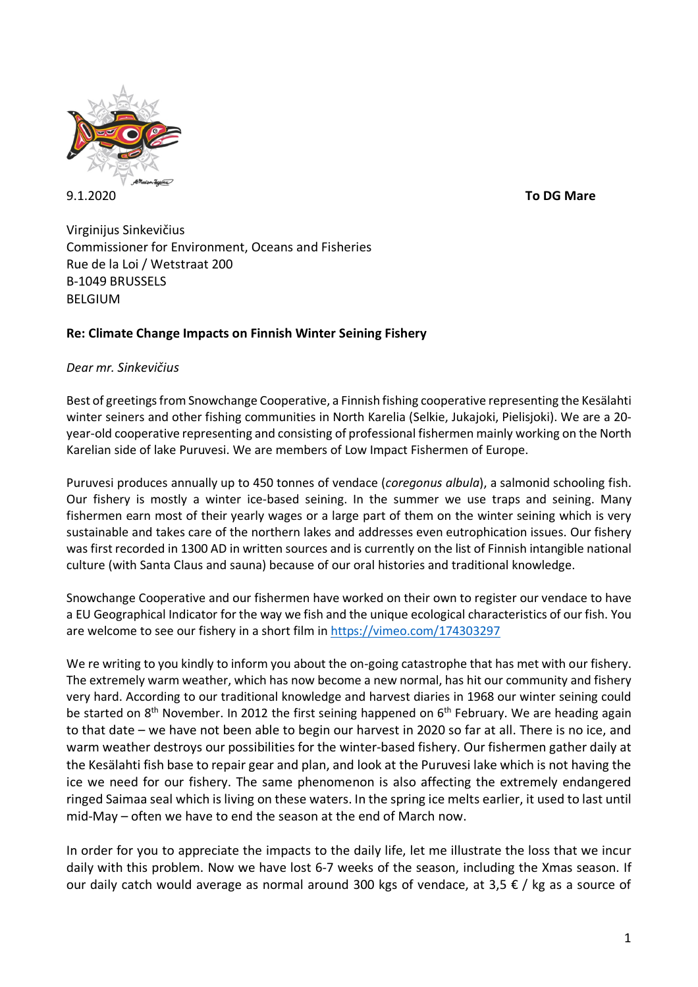

Virginijus Sinkevičius Commissioner for Environment, Oceans and Fisheries Rue de la Loi / Wetstraat 200 B-1049 BRUSSELS BELGIUM

## **Re: Climate Change Impacts on Finnish Winter Seining Fishery**

## *Dear mr. Sinkevičius*

Best of greetings from Snowchange Cooperative, a Finnish fishing cooperative representing the Kesälahti winter seiners and other fishing communities in North Karelia (Selkie, Jukajoki, Pielisjoki). We are a 20 year-old cooperative representing and consisting of professional fishermen mainly working on the North Karelian side of lake Puruvesi. We are members of Low Impact Fishermen of Europe.

Puruvesi produces annually up to 450 tonnes of vendace (*coregonus albula*), a salmonid schooling fish. Our fishery is mostly a winter ice-based seining. In the summer we use traps and seining. Many fishermen earn most of their yearly wages or a large part of them on the winter seining which is very sustainable and takes care of the northern lakes and addresses even eutrophication issues. Our fishery was first recorded in 1300 AD in written sources and is currently on the list of Finnish intangible national culture (with Santa Claus and sauna) because of our oral histories and traditional knowledge.

Snowchange Cooperative and our fishermen have worked on their own to register our vendace to have a EU Geographical Indicator for the way we fish and the unique ecological characteristics of our fish. You are welcome to see our fishery in a short film in https://vimeo.com/174303297

We re writing to you kindly to inform you about the on-going catastrophe that has met with our fishery. The extremely warm weather, which has now become a new normal, has hit our community and fishery very hard. According to our traditional knowledge and harvest diaries in 1968 our winter seining could be started on  $8<sup>th</sup>$  November. In 2012 the first seining happened on  $6<sup>th</sup>$  February. We are heading again to that date – we have not been able to begin our harvest in 2020 so far at all. There is no ice, and warm weather destroys our possibilities for the winter-based fishery. Our fishermen gather daily at the Kesälahti fish base to repair gear and plan, and look at the Puruvesi lake which is not having the ice we need for our fishery. The same phenomenon is also affecting the extremely endangered ringed Saimaa seal which is living on these waters. In the spring ice melts earlier, it used to last until mid-May – often we have to end the season at the end of March now.

In order for you to appreciate the impacts to the daily life, let me illustrate the loss that we incur daily with this problem. Now we have lost 6-7 weeks of the season, including the Xmas season. If our daily catch would average as normal around 300 kgs of vendace, at 3,5  $\epsilon$  / kg as a source of